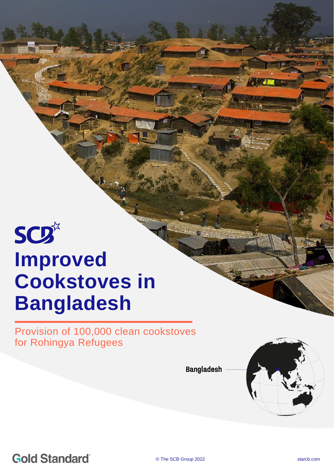# **SCD**\* **Improved Cookstoves in Bangladesh**

Provision of 100,000 clean cookstoves for Rohingya Refugees

© The School Start Communication 2021 start Communication 2021 start Communication 2021

**Bangladesh** 



Britannia

**Gold Standard**®